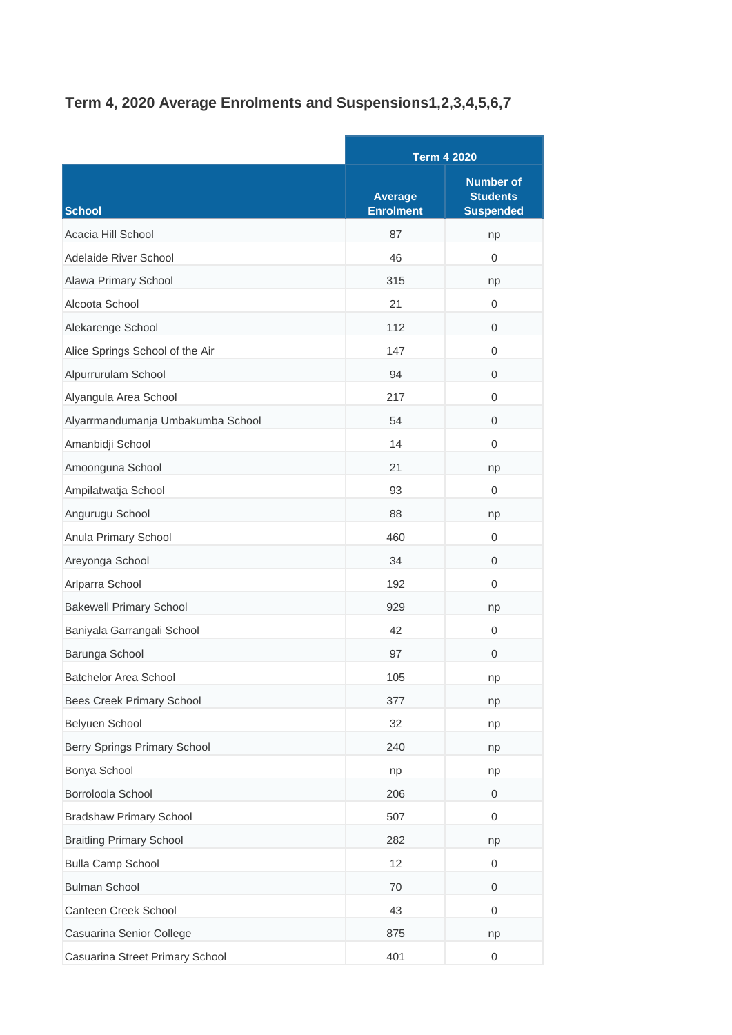## **Term 4, 2020 Average Enrolments and Suspensions1,2,3,4,5,6,7**

|                                   |                                    | <b>Term 4 2020</b>                                      |  |
|-----------------------------------|------------------------------------|---------------------------------------------------------|--|
| <b>School</b>                     | <b>Average</b><br><b>Enrolment</b> | <b>Number of</b><br><b>Students</b><br><b>Suspended</b> |  |
| Acacia Hill School                | 87                                 | np                                                      |  |
| Adelaide River School             | 46                                 | 0                                                       |  |
| Alawa Primary School              | 315                                | np                                                      |  |
| Alcoota School                    | 21                                 | 0                                                       |  |
| Alekarenge School                 | 112                                | $\mathbf 0$                                             |  |
| Alice Springs School of the Air   | 147                                | 0                                                       |  |
| Alpurrurulam School               | 94                                 | 0                                                       |  |
| Alyangula Area School             | 217                                | 0                                                       |  |
| Alyarrmandumanja Umbakumba School | 54                                 | 0                                                       |  |
| Amanbidji School                  | 14                                 | 0                                                       |  |
| Amoonguna School                  | 21                                 | np                                                      |  |
| Ampilatwatja School               | 93                                 | $\mathbf{0}$                                            |  |
| Angurugu School                   | 88                                 | np                                                      |  |
| Anula Primary School              | 460                                | 0                                                       |  |
| Areyonga School                   | 34                                 | 0                                                       |  |
| Arlparra School                   | 192                                | 0                                                       |  |
| <b>Bakewell Primary School</b>    | 929                                | np                                                      |  |
| Baniyala Garrangali School        | 42                                 | 0                                                       |  |
| Barunga School                    | 97                                 | 0                                                       |  |
| <b>Batchelor Area School</b>      | 105                                | np                                                      |  |
| Bees Creek Primary School         | 377                                | np                                                      |  |
| Belyuen School                    | 32                                 | np                                                      |  |
| Berry Springs Primary School      | 240                                | np                                                      |  |
| Bonya School                      | np                                 | np                                                      |  |
| Borroloola School                 | 206                                | 0                                                       |  |
| <b>Bradshaw Primary School</b>    | 507                                | 0                                                       |  |
| <b>Braitling Primary School</b>   | 282                                | np                                                      |  |
| <b>Bulla Camp School</b>          | 12                                 | 0                                                       |  |
| <b>Bulman School</b>              | 70                                 | 0                                                       |  |
| Canteen Creek School              | 43                                 | 0                                                       |  |
| Casuarina Senior College          | 875                                | np                                                      |  |
| Casuarina Street Primary School   | 401                                | $\mathbf 0$                                             |  |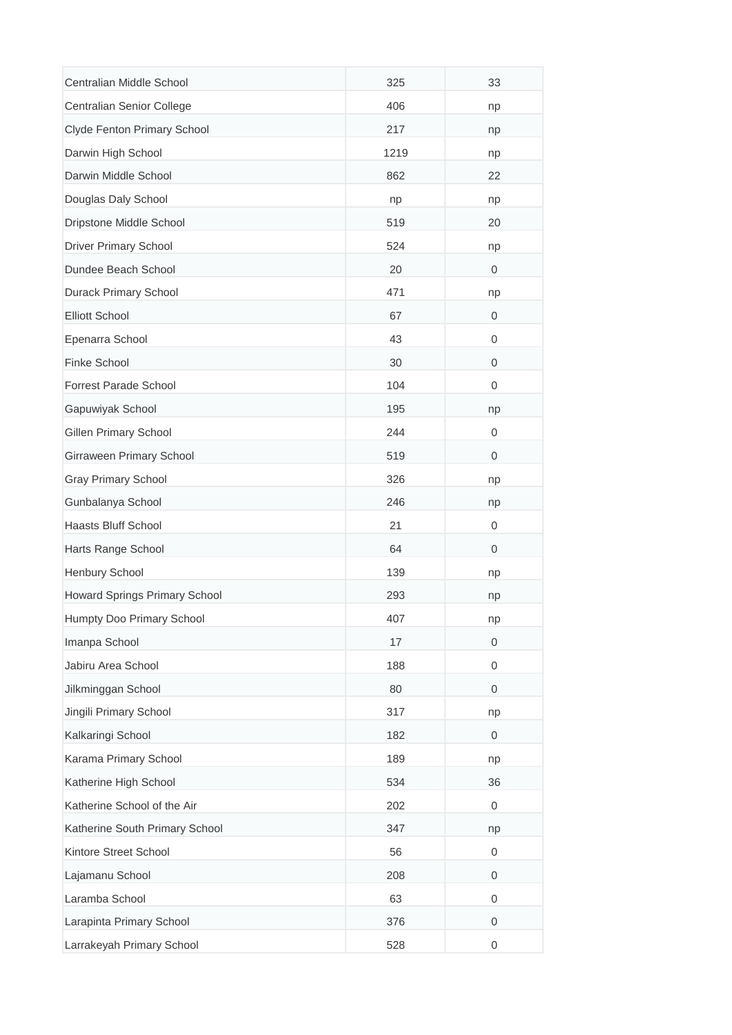| Centralian Middle School       | 325  | 33           |
|--------------------------------|------|--------------|
| Centralian Senior College      | 406  | np           |
| Clyde Fenton Primary School    | 217  | np           |
| Darwin High School             | 1219 | np           |
| Darwin Middle School           | 862  | 22           |
| Douglas Daly School            | np   | np           |
| Dripstone Middle School        | 519  | 20           |
| <b>Driver Primary School</b>   | 524  | np           |
| Dundee Beach School            | 20   | $\mathbf 0$  |
| Durack Primary School          | 471  | np           |
| <b>Elliott School</b>          | 67   | $\mathbf 0$  |
| Epenarra School                | 43   | 0            |
| Finke School                   | 30   | $\mathbf{0}$ |
| <b>Forrest Parade School</b>   | 104  | 0            |
| Gapuwiyak School               | 195  | np           |
| <b>Gillen Primary School</b>   | 244  | 0            |
| Girraween Primary School       | 519  | $\mathbf 0$  |
| <b>Gray Primary School</b>     | 326  | np           |
| Gunbalanya School              | 246  | np           |
| Haasts Bluff School            | 21   | 0            |
| Harts Range School             | 64   | $\mathbf 0$  |
| Henbury School                 | 139  | np           |
| Howard Springs Primary School  | 293  | np           |
| Humpty Doo Primary School      | 407  | np           |
| Imanpa School                  | 17   | 0            |
| Jabiru Area School             | 188  | $\mathbf{0}$ |
| Jilkminggan School             | 80   | $\mathbf 0$  |
| Jingili Primary School         | 317  | np           |
| Kalkaringi School              | 182  | 0            |
| Karama Primary School          | 189  | np           |
| Katherine High School          | 534  | 36           |
| Katherine School of the Air    | 202  | 0            |
| Katherine South Primary School | 347  | np           |
| Kintore Street School          | 56   | 0            |
| Lajamanu School                | 208  | $\mathbf 0$  |
| Laramba School                 | 63   | 0            |
| Larapinta Primary School       | 376  | $\mathbf 0$  |
| Larrakeyah Primary School      | 528  | 0            |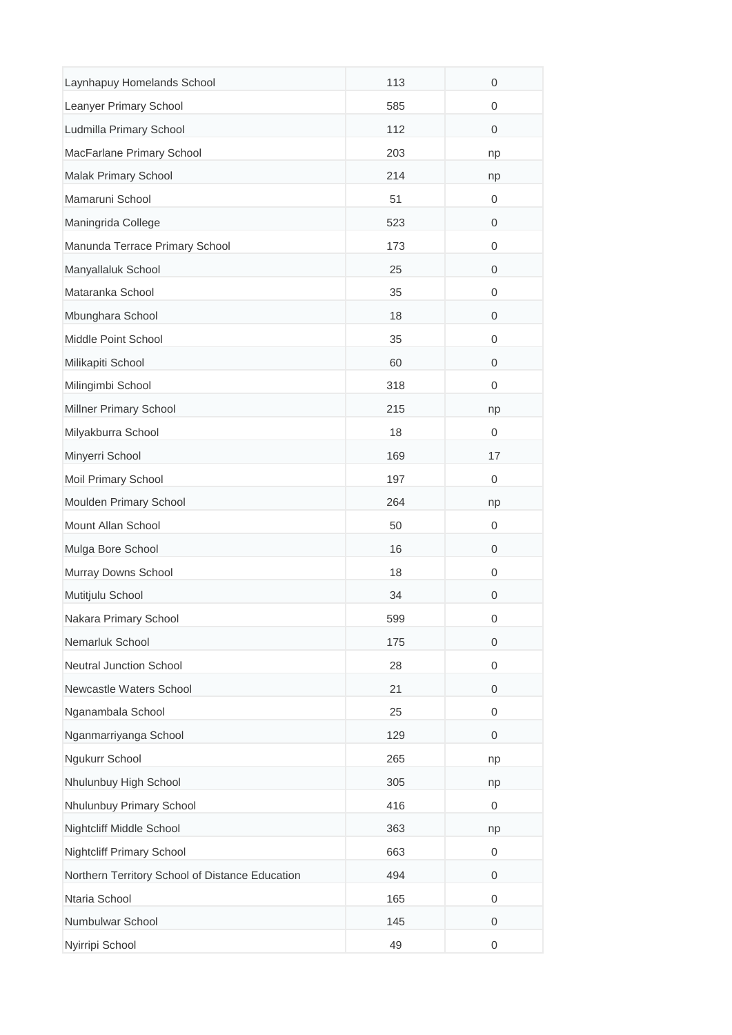| Laynhapuy Homelands School                      | 113 | $\mathbf 0$      |
|-------------------------------------------------|-----|------------------|
| Leanyer Primary School                          | 585 | 0                |
| Ludmilla Primary School                         | 112 | 0                |
| MacFarlane Primary School                       | 203 | np               |
| Malak Primary School                            | 214 | np               |
| Mamaruni School                                 | 51  | 0                |
| Maningrida College                              | 523 | 0                |
| Manunda Terrace Primary School                  | 173 | 0                |
| Manyallaluk School                              | 25  | 0                |
| Mataranka School                                | 35  | 0                |
| Mbunghara School                                | 18  | 0                |
| Middle Point School                             | 35  | 0                |
| Milikapiti School                               | 60  | $\mathbf{0}$     |
| Milingimbi School                               | 318 | 0                |
| Millner Primary School                          | 215 | np               |
| Milyakburra School                              | 18  | 0                |
| Minyerri School                                 | 169 | 17               |
| Moil Primary School                             | 197 | 0                |
| Moulden Primary School                          | 264 | np               |
| Mount Allan School                              | 50  | 0                |
| Mulga Bore School                               | 16  | 0                |
| Murray Downs School                             | 18  | 0                |
| Mutitjulu School                                | 34  | 0                |
| Nakara Primary School                           | 599 | 0                |
| Nemarluk School                                 | 175 | $\mathbf 0$      |
| <b>Neutral Junction School</b>                  | 28  | $\boldsymbol{0}$ |
| Newcastle Waters School                         | 21  | $\mathbf 0$      |
| Nganambala School                               | 25  | 0                |
| Nganmarriyanga School                           | 129 | $\mathbf 0$      |
| Ngukurr School                                  | 265 | np               |
| Nhulunbuy High School                           | 305 | np               |
| Nhulunbuy Primary School                        | 416 | 0                |
| Nightcliff Middle School                        | 363 | np               |
| <b>Nightcliff Primary School</b>                | 663 | 0                |
| Northern Territory School of Distance Education | 494 | 0                |
| Ntaria School                                   | 165 | 0                |
| Numbulwar School                                | 145 | $\mathbf 0$      |
| Nyirripi School                                 | 49  | 0                |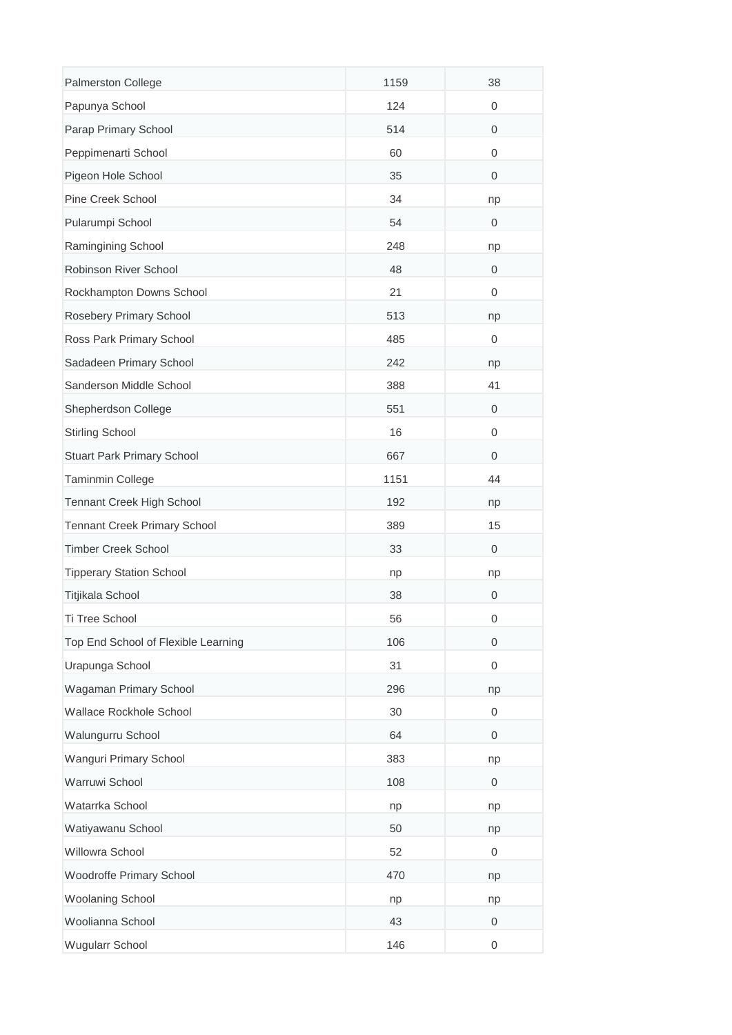| Palmerston College                  | 1159 | 38               |
|-------------------------------------|------|------------------|
| Papunya School                      | 124  | 0                |
| Parap Primary School                | 514  | 0                |
| Peppimenarti School                 | 60   | 0                |
| Pigeon Hole School                  | 35   | $\mathbf 0$      |
| Pine Creek School                   | 34   | np               |
| Pularumpi School                    | 54   | 0                |
| Ramingining School                  | 248  | np               |
| Robinson River School               | 48   | $\mathbf 0$      |
| Rockhampton Downs School            | 21   | 0                |
| Rosebery Primary School             | 513  | np               |
| Ross Park Primary School            | 485  | 0                |
| Sadadeen Primary School             | 242  | np               |
| Sanderson Middle School             | 388  | 41               |
| Shepherdson College                 | 551  | $\mathbf 0$      |
| <b>Stirling School</b>              | 16   | 0                |
| Stuart Park Primary School          | 667  | 0                |
| Taminmin College                    | 1151 | 44               |
| Tennant Creek High School           | 192  | np               |
| <b>Tennant Creek Primary School</b> | 389  | 15               |
| <b>Timber Creek School</b>          | 33   | $\mathbf 0$      |
| <b>Tipperary Station School</b>     | np   | np               |
| Titjikala School                    | 38   | 0                |
| Ti Tree School                      | 56   | 0                |
| Top End School of Flexible Learning | 106  | $\boldsymbol{0}$ |
| Urapunga School                     | 31   | $\mathbf{0}$     |
| Wagaman Primary School              | 296  | np               |
| Wallace Rockhole School             | 30   | 0                |
| Walungurru School                   | 64   | $\mathbf 0$      |
| Wanguri Primary School              | 383  | np               |
| Warruwi School                      | 108  | $\mathbf 0$      |
| Watarrka School                     | np   | np               |
| Watiyawanu School                   | 50   | np               |
| Willowra School                     | 52   | 0                |
| Woodroffe Primary School            | 470  | np               |
| Woolaning School                    | np   | np               |
| Woolianna School                    | 43   | $\mathbf 0$      |
| Wugularr School                     | 146  | 0                |